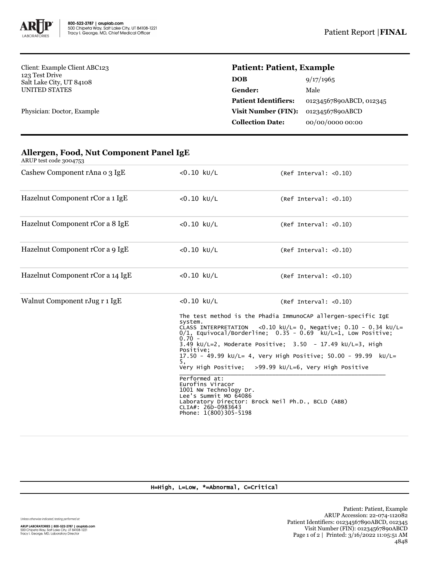

Client: Example Client ABC123 123 Test Drive Salt Lake City, UT 84108 UNITED STATES

Physician: Doctor, Example

## **Patient: Patient, Example**

| <b>DOB</b>                  | 9/17/1965               |
|-----------------------------|-------------------------|
| Gender:                     | Male                    |
| <b>Patient Identifiers:</b> | 01234567890ABCD, 012345 |
| <b>Visit Number (FIN):</b>  | 01234567890ABCD         |
| <b>Collection Date:</b>     | 00/00/0000 00:00        |
|                             |                         |

| ARUP test code 3004753           |                                                                                                                                                                                                                                                                                                                                                                                                                                                                                                                                                                                                                                                                                                 |                       |  |
|----------------------------------|-------------------------------------------------------------------------------------------------------------------------------------------------------------------------------------------------------------------------------------------------------------------------------------------------------------------------------------------------------------------------------------------------------------------------------------------------------------------------------------------------------------------------------------------------------------------------------------------------------------------------------------------------------------------------------------------------|-----------------------|--|
| Cashew Component rAna o 3 IgE    | $< 0.10$ kU/L                                                                                                                                                                                                                                                                                                                                                                                                                                                                                                                                                                                                                                                                                   | (Ref Interval: <0.10) |  |
| Hazelnut Component rCor a 1 IgE  | $< 0.10$ kU/L                                                                                                                                                                                                                                                                                                                                                                                                                                                                                                                                                                                                                                                                                   | (Ref Interval: <0.10) |  |
| Hazelnut Component rCor a 8 IgE  | $< 0.10$ ku/L                                                                                                                                                                                                                                                                                                                                                                                                                                                                                                                                                                                                                                                                                   | (Ref Interval: <0.10) |  |
| Hazelnut Component rCor a 9 IgE  | $< 0.10$ kU/L                                                                                                                                                                                                                                                                                                                                                                                                                                                                                                                                                                                                                                                                                   | (Ref Interval: <0.10) |  |
| Hazelnut Component rCor a 14 IgE | $< 0.10$ kU/L                                                                                                                                                                                                                                                                                                                                                                                                                                                                                                                                                                                                                                                                                   | (Ref Interval: <0.10) |  |
| Walnut Component rJug r 1 IgE    | $< 0.10$ kU/L<br>(Ref Interval: <0.10)<br>The test method is the Phadia ImmunoCAP allergen-specific IqE<br>system.<br><0.10 kU/L= 0, Negative; $0.10 - 0.34$ kU/L=<br>CLASS INTERPRETATION<br>$0/1$ , Equivocal/Borderline; $0.35 - 0.69$ kU/L=1, Low Positive;<br>$0^{\prime}$ , 70 –<br>3.49 kU/L=2, Moderate Positive: $3.50 - 17.49$ kU/L=3, High<br>Positive:<br>17.50 - 49.99 kU/L= 4, Very High Positive; 50.00 - 99.99 kU/L=<br>5.<br>Very High Positive; >99.99 kU/L=6, Very High Positive<br>Performed at:<br>Eurofins Viracor<br>1001 NW Technology Dr.<br>Lee's Summit MO 64086<br>Laboratory Director: Brock Neil Ph.D., BCLD (ABB)<br>CLIA#: 26D-0983643<br>Phone: 1(800)305-5198 |                       |  |

## **Allergen, Food, Nut Component Panel IgE**

H=High, L=Low, \*=Abnormal, C=Critical

Unless otherwise indicated, testing performed at: